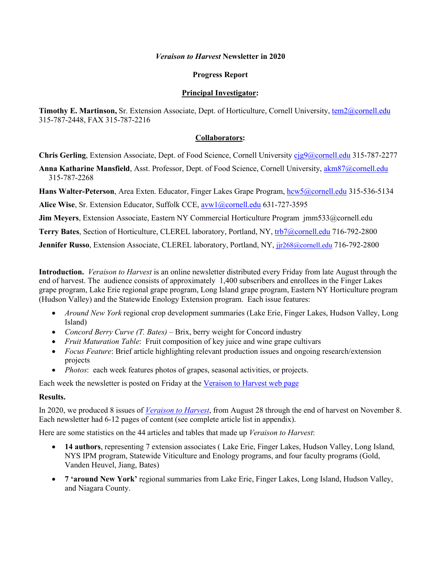#### *Veraison to Harvest* **Newsletter in 2020**

### **Progress Report**

#### **Principal Investigator:**

Timothy E. Martinson, Sr. Extension Associate, Dept. of Horticulture, Cornell University, [tem2@cornell.edu](mailto:tem2@cornell.edu) 315-787-2448, FAX 315-787-2216

### **Collaborators:**

**Chris Gerling**, Extension Associate, Dept. of Food Science, Cornell University [cjg9@cornell.edu](mailto:cjg9@cornell.edu) 315-787-2277

**Anna Katharine Mansfield**, Asst. Professor, Dept. of Food Science, Cornell University[, akm87@cornell.edu](mailto:akm87@cornell.edu) 315-787-2268

**Hans Walter-Peterson**, Area Exten. Educator, Finger Lakes Grape Program, [hcw5@cornell.edu](mailto:hcw5@cornell.edu) 315-536-5134

**Alice Wise**, Sr. Extension Educator, Suffolk CCE, [avw1@cornell.edu](mailto:avw1@cornell.edu) 631-727-3595

**Jim Meyers**, Extension Associate, Eastern NY Commercial Horticulture Program jmm533@cornell.edu

**Terry Bates**, Section of Horticulture, CLEREL laboratory, Portland, NY, [trb7@cornell.edu](mailto:trb7@cornell.edu) 716-792-2800

Jennifer Russo, Extension Associate, CLEREL laboratory, Portland, NY, jir268@cornell.edu 716-792-2800

**Introduction.** *Veraison to Harvest* is an online newsletter distributed every Friday from late August through the end of harvest. The audience consists of approximately 1,400 subscribers and enrollees in the Finger Lakes grape program, Lake Erie regional grape program, Long Island grape program, Eastern NY Horticulture program (Hudson Valley) and the Statewide Enology Extension program. Each issue features:

- *Around New York* regional crop development summaries (Lake Erie, Finger Lakes, Hudson Valley, Long Island)
- *Concord Berry Curve (T. Bates)* Brix, berry weight for Concord industry
- *Fruit Maturation Table*: Fruit composition of key juice and wine grape cultivars
- *Focus Feature*: Brief article highlighting relevant production issues and ongoing research/extension projects
- *Photos*: each week features photos of grapes, seasonal activities, or projects.

Each week the newsletter is posted on Friday at the [Veraison to Harvest web page](https://grapesandwine.cals.cornell.edu/newsletters/veraison-harvest)

### **Results.**

In 2020, we produced 8 issues of *[Veraison to Harvest](https://grapesandwine.cals.cornell.edu/newsletters/veraison-harvest)*, from August 28 through the end of harvest on November 8. Each newsletter had 6-12 pages of content (see complete article list in appendix).

Here are some statistics on the 44 articles and tables that made up *Veraison to Harvest*:

- **14 authors**, representing 7 extension associates ( Lake Erie, Finger Lakes, Hudson Valley, Long Island, NYS IPM program, Statewide Viticulture and Enology programs, and four faculty programs (Gold, Vanden Heuvel, Jiang, Bates)
- **7 'around New York'** regional summaries from Lake Erie, Finger Lakes, Long Island, Hudson Valley, and Niagara County.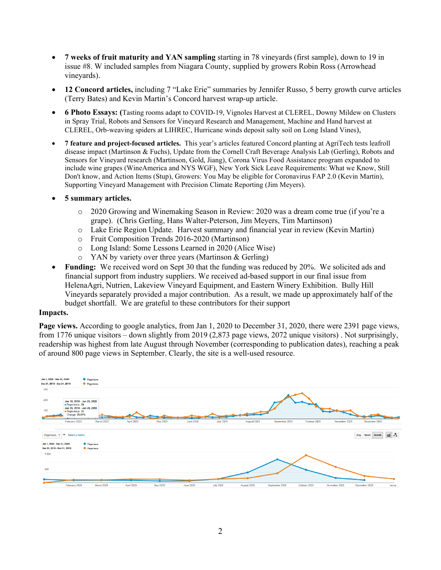- **7 weeks of fruit maturity and YAN sampling** starting in 78 vineyards (first sample), down to 19 in issue #8. W included samples from Niagara County, supplied by growers Robin Ross (Arrowhead vineyards).
- **12 Concord articles,** including 7 "Lake Erie" summaries by Jennifer Russo, 5 berry growth curve articles (Terry Bates) and Kevin Martin's Concord harvest wrap-up article.
- **6 Photo Essays: (**Tasting rooms adapt to COVID-19, Vignoles Harvest at CLEREL, Downy Mildew on Clusters in Spray Trial, Robots and Sensors for Vineyard Research and Management, Machine and Hand harvest at CLEREL, Orb-weaving spiders at LIHREC, Hurricane winds deposit salty soil on Long Island Vines),
- **7 feature and project-focused articles.** This year's articles featured Concord planting at AgriTech tests leafroll disease impact (Martinson & Fuchs), Update from the Cornell Craft Beverage Analysis Lab (Gerling), Robots and Sensors for Vineyard research (Martinson, Gold, Jiang), Corona Virus Food Assistance program expanded to include wine grapes (WineAmerica and NYS WGF), New York Sick Leave Requirements: What we Know, Still Don't know, and Action Items (Stup), Growers: You May be eligible for Coronavirus FAP 2.0 (Kevin Martin), Supporting Vineyard Management with Precision Climate Reporting (Jim Meyers).
- **5 summary articles.** 
	- o 2020 Growing and Winemaking Season in Review: 2020 was a dream come true (if you're a grape). (Chris Gerling, Hans Walter-Peterson, Jim Meyers, Tim Martinson)
	- o Lake Erie Region Update. Harvest summary and financial year in review (Kevin Martin)
	- o Fruit Composition Trends 2016-2020 (Martinson)
	- o Long Island: Some Lessons Learned in 2020 (Alice Wise)
	- o YAN by variety over three years (Martinson & Gerling)
- **Funding:** We received word on Sept 30 that the funding was reduced by 20%. We solicited ads and financial support from industry suppliers. We received ad-based support in our final issue from HelenaAgri, Nutrien, Lakeview Vineyard Equipment, and Eastern Winery Exhibition. Bully Hill Vineyards separately provided a major contribution. As a result, we made up approximately half of the budget shortfall. We are grateful to these contributors for their support

### **Impacts.**

**Page views.** According to google analytics, from Jan 1, 2020 to December 31, 2020, there were 2391 page views, from 1776 unique visitors – down slightly from 2019 (2,873 page views, 2072 unique visitors) . Not surprisingly, readership was highest from late August through November (corresponding to publication dates), reaching a peak of around 800 page views in September. Clearly, the site is a well-used resource.

| Jan 1, 2020 - Dec 31, 2020:  |                                 | <b>O</b> Pageviews          |            |                 |                  |                  |             |                |              |               |                |          |
|------------------------------|---------------------------------|-----------------------------|------------|-----------------|------------------|------------------|-------------|----------------|--------------|---------------|----------------|----------|
| Dec 31, 2018 - Dec 31, 2019: |                                 | · Pageviews                 |            |                 |                  |                  |             |                |              |               |                |          |
| 300                          |                                 |                             |            |                 |                  |                  |             |                |              |               |                |          |
| 200                          |                                 |                             |            |                 |                  |                  |             |                |              |               |                |          |
|                              | Pageviews: 39                   | Jan 19, 2020 - Jan 25, 2020 |            |                 |                  |                  |             |                |              |               |                |          |
| 100                          |                                 | Jan 20, 2019 - Jan 26, 2019 |            |                 |                  |                  |             |                |              |               |                |          |
|                              | Pageviews: 31<br>Change: 25.81% |                             |            |                 |                  |                  |             |                |              |               |                |          |
|                              | February 2020                   | --<br>March 2020            | April 2020 | <b>May 2020</b> | <b>June 2020</b> | <b>July 2020</b> | August 2020 | September 2020 | October 2020 | November 2020 | December 2020  |          |
| Pageviews <b>v</b>           | VS.<br>Select a metric          |                             |            |                 |                  |                  |             |                |              |               | Day Week Month | $\leq$ . |
| Jan 1, 2020 - Dec 31, 2020:  |                                 | · Pageviews                 |            |                 |                  |                  |             |                |              |               |                |          |
| Dec 31, 2018 - Dec 31, 2019: |                                 | · Pageviews                 |            |                 |                  |                  |             |                |              |               |                |          |
| 1,000                        |                                 |                             |            |                 |                  |                  |             |                |              |               |                |          |
|                              |                                 |                             |            |                 |                  |                  |             |                |              |               |                |          |
|                              |                                 |                             |            |                 |                  |                  |             |                |              |               |                |          |
| 500                          |                                 |                             |            |                 |                  |                  |             |                |              |               |                |          |
|                              |                                 |                             |            |                 |                  |                  |             |                |              |               |                |          |
|                              |                                 |                             |            |                 |                  |                  |             |                |              |               |                |          |
|                              | February 2020                   | March 2020                  | April 2020 | May 2020        | <b>June 2020</b> | <b>July 2020</b> | August 2020 | September 2020 | October 2020 | November 2020 | December 2020  | Janua    |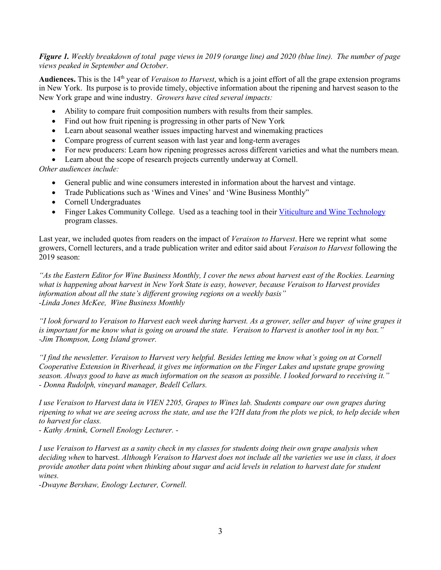## *Figure 1. Weekly breakdown of total page views in 2019 (orange line) and 2020 (blue line). The number of page views peaked in September and October*.

Audiences. This is the 14<sup>th</sup> year of *Veraison to Harvest*, which is a joint effort of all the grape extension programs in New York. Its purpose is to provide timely, objective information about the ripening and harvest season to the New York grape and wine industry. *Growers have cited several impacts:*

- Ability to compare fruit composition numbers with results from their samples.
- Find out how fruit ripening is progressing in other parts of New York
- Learn about seasonal weather issues impacting harvest and winemaking practices
- Compare progress of current season with last year and long-term averages
- For new producers: Learn how ripening progresses across different varieties and what the numbers mean.
- Learn about the scope of research projects currently underway at Cornell.

*Other audiences include:*

- General public and wine consumers interested in information about the harvest and vintage.
- Trade Publications such as 'Wines and Vines' and 'Wine Business Monthly"
- Cornell Undergraduates
- Finger Lakes Community College. Used as a teaching tool in their [Viticulture and Wine Technology](https://www.flcc.edu/academics/viticulture/) program classes.

Last year, we included quotes from readers on the impact of *Veraison to Harvest*. Here we reprint what some growers, Cornell lecturers, and a trade publication writer and editor said about *Veraison to Harvest* following the 2019 season:

*"As the Eastern Editor for Wine Business Monthly, I cover the news about harvest east of the Rockies. Learning what is happening about harvest in New York State is easy, however, because Veraison to Harvest provides information about all the state's different growing regions on a weekly basis" -Linda Jones McKee, Wine Business Monthly*

*"I look forward to Veraison to Harvest each week during harvest. As a grower, seller and buyer of wine grapes it is important for me know what is going on around the state. Veraison to Harvest is another tool in my box." -Jim Thompson, Long Island grower.*

*"I find the newsletter. Veraison to Harvest very helpful. Besides letting me know what's going on at Cornell Cooperative Extension in Riverhead, it gives me information on the Finger Lakes and upstate grape growing season. Always good to have as much information on the season as possible. I looked forward to receiving it." - Donna Rudolph, vineyard manager, Bedell Cellars.*

*I use Veraison to Harvest data in VIEN 2205, Grapes to Wines lab. Students compare our own grapes during ripening to what we are seeing across the state, and use the V2H data from the plots we pick, to help decide when to harvest for class.*

*- Kathy Arnink, Cornell Enology Lecturer. -*

*I use Veraison to Harvest as a sanity check in my classes for students doing their own grape analysis when deciding when* to harvest. *Although Veraison to Harvest does not include all the varieties we use in class, it does provide another data point when thinking about sugar and acid levels in relation to harvest date for student wines.*

*-Dwayne Bershaw, Enology Lecturer, Cornell.*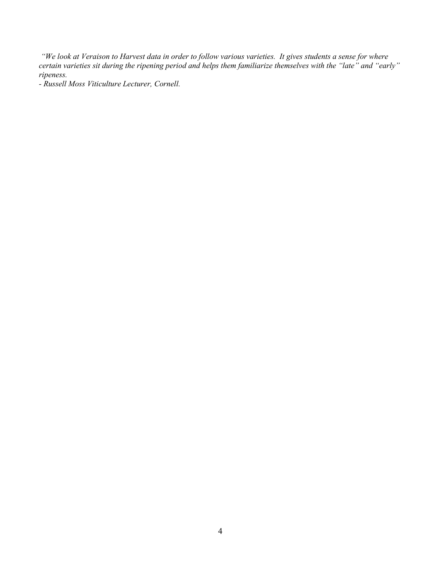*"We look at Veraison to Harvest data in order to follow various varieties. It gives students a sense for where certain varieties sit during the ripening period and helps them familiarize themselves with the "late" and "early" ripeness.*

*- Russell Moss Viticulture Lecturer, Cornell.*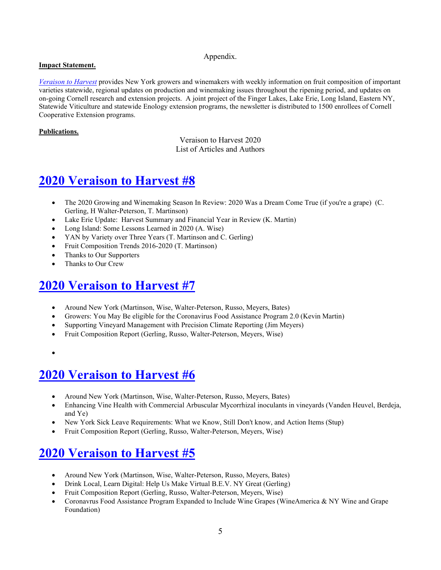### Appendix.

## **Impact Statement.**

*[Veraison to Harvest](https://grapesandwine.cals.cornell.edu/newsletters/veraison-harvest)* provides New York growers and winemakers with weekly information on fruit composition of important varieties statewide, regional updates on production and winemaking issues throughout the ripening period, and updates on on-going Cornell research and extension projects. A joint project of the Finger Lakes, Lake Erie, Long Island, Eastern NY, Statewide Viticulture and statewide Enology extension programs, the newsletter is distributed to 1500 enrollees of Cornell Cooperative Extension programs.

## **Publications.**

Veraison to Harvest 2020 List of Articles and Authors

# **[2020 Veraison to Harvest #8](https://grapesandwine.cals.cornell.edu/sites/grapesandwine.cals.cornell.edu/files/shared/Veraison%20to%20Harvest%202020%20%238.pdf)**

- The 2020 Growing and Winemaking Season In Review: 2020 Was a Dream Come True (if you're a grape) (C. Gerling, H Walter-Peterson, T. Martinson)
- Lake Erie Update: Harvest Summary and Financial Year in Review (K. Martin)
- Long Island: Some Lessons Learned in 2020 (A. Wise)
- YAN by Variety over Three Years (T. Martinson and C. Gerling)
- Fruit Composition Trends 2016-2020 (T. Martinson)
- Thanks to Our Supporters
- Thanks to Our Crew

# **[2020 Veraison](https://grapesandwine.cals.cornell.edu/sites/grapesandwine.cals.cornell.edu/files/shared/images/Veraison%20to%20Harvest%202020%20%237.pdf) to Harvest #7**

- Around New York (Martinson, Wise, Walter-Peterson, Russo, Meyers, Bates)
- Growers: You May Be eligible for the Coronavirus Food Assistance Program 2.0 (Kevin Martin)
- Supporting Vineyard Management with Precision Climate Reporting (Jim Meyers)
- Fruit Composition Report (Gerling, Russo, Walter-Peterson, Meyers, Wise)
- •

# **[2020 Veraison to Harvest #6](https://grapesandwine.cals.cornell.edu/sites/grapesandwine.cals.cornell.edu/files/shared/Veraison%20to%20Harvest%202020%20%236.pdf)**

- Around New York (Martinson, Wise, Walter-Peterson, Russo, Meyers, Bates)
- Enhancing Vine Health with Commercial Arbuscular Mycorrhizal inoculants in vineyards (Vanden Heuvel, Berdeja, and Ye)
- New York Sick Leave Requirements: What we Know, Still Don't know, and Action Items (Stup)
- Fruit Composition Report (Gerling, Russo, Walter-Peterson, Meyers, Wise)

# **[2020 Veraison to Harvest #5](https://grapesandwine.cals.cornell.edu/sites/grapesandwine.cals.cornell.edu/files/shared/Veraison%20to%20Harvest%202020%20%235.pdf)**

- Around New York (Martinson, Wise, Walter-Peterson, Russo, Meyers, Bates)
- Drink Local, Learn Digital: Help Us Make Virtual B.E.V. NY Great (Gerling)
- Fruit Composition Report (Gerling, Russo, Walter-Peterson, Meyers, Wise)
- Coronavrus Food Assistance Program Expanded to Include Wine Grapes (WineAmerica & NY Wine and Grape Foundation)